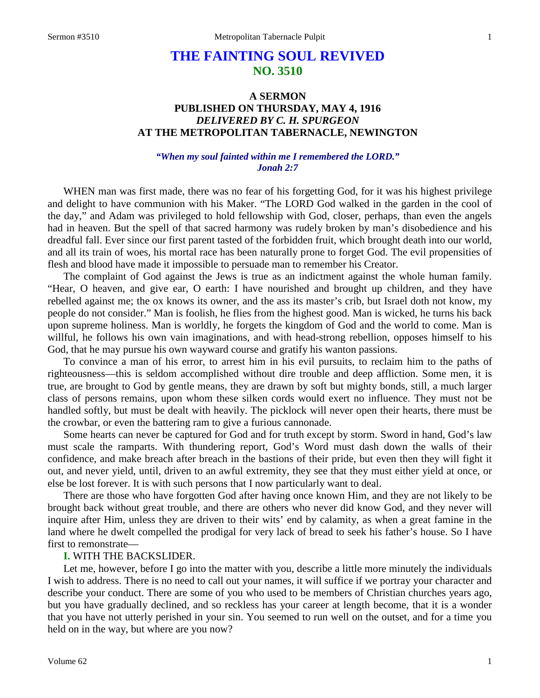# **THE FAINTING SOUL REVIVED NO. 3510**

# **A SERMON PUBLISHED ON THURSDAY, MAY 4, 1916** *DELIVERED BY C. H. SPURGEON* **AT THE METROPOLITAN TABERNACLE, NEWINGTON**

# *"When my soul fainted within me I remembered the LORD." Jonah 2:7*

WHEN man was first made, there was no fear of his forgetting God, for it was his highest privilege and delight to have communion with his Maker. "The LORD God walked in the garden in the cool of the day," and Adam was privileged to hold fellowship with God, closer, perhaps, than even the angels had in heaven. But the spell of that sacred harmony was rudely broken by man's disobedience and his dreadful fall. Ever since our first parent tasted of the forbidden fruit, which brought death into our world, and all its train of woes, his mortal race has been naturally prone to forget God. The evil propensities of flesh and blood have made it impossible to persuade man to remember his Creator.

The complaint of God against the Jews is true as an indictment against the whole human family. "Hear, O heaven, and give ear, O earth: I have nourished and brought up children, and they have rebelled against me; the ox knows its owner, and the ass its master's crib, but Israel doth not know, my people do not consider." Man is foolish, he flies from the highest good. Man is wicked, he turns his back upon supreme holiness. Man is worldly, he forgets the kingdom of God and the world to come. Man is willful, he follows his own vain imaginations, and with head-strong rebellion, opposes himself to his God, that he may pursue his own wayward course and gratify his wanton passions.

To convince a man of his error, to arrest him in his evil pursuits, to reclaim him to the paths of righteousness—this is seldom accomplished without dire trouble and deep affliction. Some men, it is true, are brought to God by gentle means, they are drawn by soft but mighty bonds, still, a much larger class of persons remains, upon whom these silken cords would exert no influence. They must not be handled softly, but must be dealt with heavily. The picklock will never open their hearts, there must be the crowbar, or even the battering ram to give a furious cannonade.

Some hearts can never be captured for God and for truth except by storm. Sword in hand, God's law must scale the ramparts. With thundering report, God's Word must dash down the walls of their confidence, and make breach after breach in the bastions of their pride, but even then they will fight it out, and never yield, until, driven to an awful extremity, they see that they must either yield at once, or else be lost forever. It is with such persons that I now particularly want to deal.

There are those who have forgotten God after having once known Him, and they are not likely to be brought back without great trouble, and there are others who never did know God, and they never will inquire after Him, unless they are driven to their wits' end by calamity, as when a great famine in the land where he dwelt compelled the prodigal for very lack of bread to seek his father's house. So I have first to remonstrate—

### **I.** WITH THE BACKSLIDER.

Let me, however, before I go into the matter with you, describe a little more minutely the individuals I wish to address. There is no need to call out your names, it will suffice if we portray your character and describe your conduct. There are some of you who used to be members of Christian churches years ago, but you have gradually declined, and so reckless has your career at length become, that it is a wonder that you have not utterly perished in your sin. You seemed to run well on the outset, and for a time you held on in the way, but where are you now?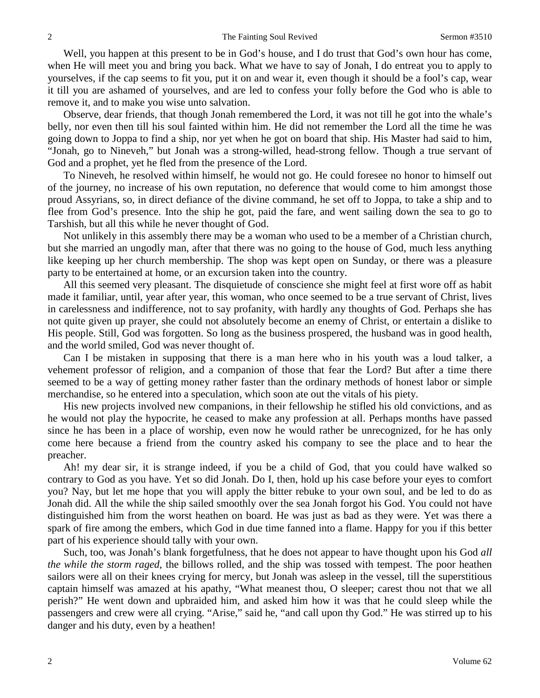Well, you happen at this present to be in God's house, and I do trust that God's own hour has come, when He will meet you and bring you back. What we have to say of Jonah, I do entreat you to apply to yourselves, if the cap seems to fit you, put it on and wear it, even though it should be a fool's cap, wear it till you are ashamed of yourselves, and are led to confess your folly before the God who is able to remove it, and to make you wise unto salvation.

Observe, dear friends, that though Jonah remembered the Lord, it was not till he got into the whale's belly, nor even then till his soul fainted within him. He did not remember the Lord all the time he was going down to Joppa to find a ship, nor yet when he got on board that ship. His Master had said to him, "Jonah, go to Nineveh," but Jonah was a strong-willed, head-strong fellow. Though a true servant of God and a prophet, yet he fled from the presence of the Lord.

To Nineveh, he resolved within himself, he would not go. He could foresee no honor to himself out of the journey, no increase of his own reputation, no deference that would come to him amongst those proud Assyrians, so, in direct defiance of the divine command, he set off to Joppa, to take a ship and to flee from God's presence. Into the ship he got, paid the fare, and went sailing down the sea to go to Tarshish, but all this while he never thought of God.

Not unlikely in this assembly there may be a woman who used to be a member of a Christian church, but she married an ungodly man, after that there was no going to the house of God, much less anything like keeping up her church membership. The shop was kept open on Sunday, or there was a pleasure party to be entertained at home, or an excursion taken into the country.

All this seemed very pleasant. The disquietude of conscience she might feel at first wore off as habit made it familiar, until, year after year, this woman, who once seemed to be a true servant of Christ, lives in carelessness and indifference, not to say profanity, with hardly any thoughts of God. Perhaps she has not quite given up prayer, she could not absolutely become an enemy of Christ, or entertain a dislike to His people. Still, God was forgotten. So long as the business prospered, the husband was in good health, and the world smiled, God was never thought of.

Can I be mistaken in supposing that there is a man here who in his youth was a loud talker, a vehement professor of religion, and a companion of those that fear the Lord? But after a time there seemed to be a way of getting money rather faster than the ordinary methods of honest labor or simple merchandise, so he entered into a speculation, which soon ate out the vitals of his piety.

His new projects involved new companions, in their fellowship he stifled his old convictions, and as he would not play the hypocrite, he ceased to make any profession at all. Perhaps months have passed since he has been in a place of worship, even now he would rather be unrecognized, for he has only come here because a friend from the country asked his company to see the place and to hear the preacher.

Ah! my dear sir, it is strange indeed, if you be a child of God, that you could have walked so contrary to God as you have. Yet so did Jonah. Do I, then, hold up his case before your eyes to comfort you? Nay, but let me hope that you will apply the bitter rebuke to your own soul, and be led to do as Jonah did. All the while the ship sailed smoothly over the sea Jonah forgot his God. You could not have distinguished him from the worst heathen on board. He was just as bad as they were. Yet was there a spark of fire among the embers, which God in due time fanned into a flame. Happy for you if this better part of his experience should tally with your own.

Such, too, was Jonah's blank forgetfulness, that he does not appear to have thought upon his God *all the while the storm raged,* the billows rolled, and the ship was tossed with tempest. The poor heathen sailors were all on their knees crying for mercy, but Jonah was asleep in the vessel, till the superstitious captain himself was amazed at his apathy, "What meanest thou, O sleeper; carest thou not that we all perish?" He went down and upbraided him, and asked him how it was that he could sleep while the passengers and crew were all crying. "Arise," said he, "and call upon thy God." He was stirred up to his danger and his duty, even by a heathen!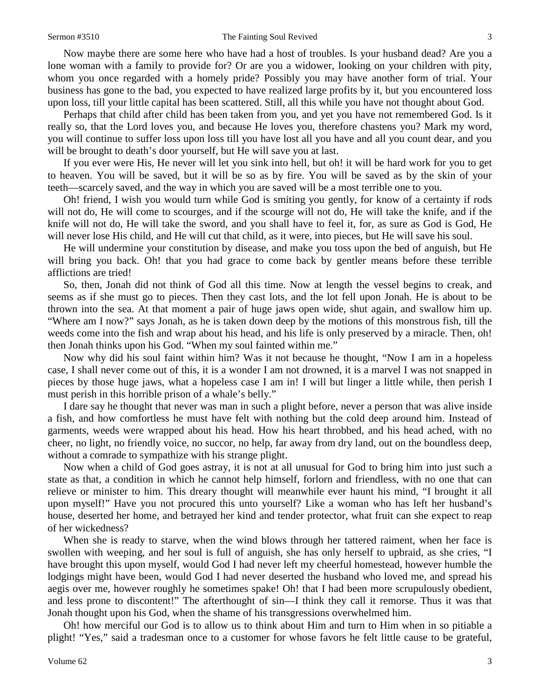### Sermon #3510 The Fainting Soul Revived 3

Now maybe there are some here who have had a host of troubles. Is your husband dead? Are you a lone woman with a family to provide for? Or are you a widower, looking on your children with pity, whom you once regarded with a homely pride? Possibly you may have another form of trial. Your business has gone to the bad, you expected to have realized large profits by it, but you encountered loss upon loss, till your little capital has been scattered. Still, all this while you have not thought about God.

Perhaps that child after child has been taken from you, and yet you have not remembered God. Is it really so, that the Lord loves you, and because He loves you, therefore chastens you? Mark my word, you will continue to suffer loss upon loss till you have lost all you have and all you count dear, and you will be brought to death's door yourself, but He will save you at last.

If you ever were His, He never will let you sink into hell, but oh! it will be hard work for you to get to heaven. You will be saved, but it will be so as by fire. You will be saved as by the skin of your teeth—scarcely saved, and the way in which you are saved will be a most terrible one to you.

Oh! friend, I wish you would turn while God is smiting you gently, for know of a certainty if rods will not do, He will come to scourges, and if the scourge will not do, He will take the knife, and if the knife will not do, He will take the sword, and you shall have to feel it, for, as sure as God is God, He will never lose His child, and He will cut that child, as it were, into pieces, but He will save his soul.

He will undermine your constitution by disease, and make you toss upon the bed of anguish, but He will bring you back. Oh! that you had grace to come back by gentler means before these terrible afflictions are tried!

So, then, Jonah did not think of God all this time. Now at length the vessel begins to creak, and seems as if she must go to pieces. Then they cast lots, and the lot fell upon Jonah. He is about to be thrown into the sea. At that moment a pair of huge jaws open wide, shut again, and swallow him up. "Where am I now?" says Jonah, as he is taken down deep by the motions of this monstrous fish, till the weeds come into the fish and wrap about his head, and his life is only preserved by a miracle. Then, oh! then Jonah thinks upon his God. "When my soul fainted within me."

Now why did his soul faint within him? Was it not because he thought, "Now I am in a hopeless case, I shall never come out of this, it is a wonder I am not drowned, it is a marvel I was not snapped in pieces by those huge jaws, what a hopeless case I am in! I will but linger a little while, then perish I must perish in this horrible prison of a whale's belly."

I dare say he thought that never was man in such a plight before, never a person that was alive inside a fish, and how comfortless he must have felt with nothing but the cold deep around him. Instead of garments, weeds were wrapped about his head. How his heart throbbed, and his head ached, with no cheer, no light, no friendly voice, no succor, no help, far away from dry land, out on the boundless deep, without a comrade to sympathize with his strange plight.

Now when a child of God goes astray, it is not at all unusual for God to bring him into just such a state as that, a condition in which he cannot help himself, forlorn and friendless, with no one that can relieve or minister to him. This dreary thought will meanwhile ever haunt his mind, "I brought it all upon myself!" Have you not procured this unto yourself? Like a woman who has left her husband's house, deserted her home, and betrayed her kind and tender protector, what fruit can she expect to reap of her wickedness?

When she is ready to starve, when the wind blows through her tattered raiment, when her face is swollen with weeping, and her soul is full of anguish, she has only herself to upbraid, as she cries, "I have brought this upon myself, would God I had never left my cheerful homestead, however humble the lodgings might have been, would God I had never deserted the husband who loved me, and spread his aegis over me, however roughly he sometimes spake! Oh! that I had been more scrupulously obedient, and less prone to discontent!" The afterthought of sin—I think they call it remorse. Thus it was that Jonah thought upon his God, when the shame of his transgressions overwhelmed him.

Oh! how merciful our God is to allow us to think about Him and turn to Him when in so pitiable a plight! "Yes," said a tradesman once to a customer for whose favors he felt little cause to be grateful,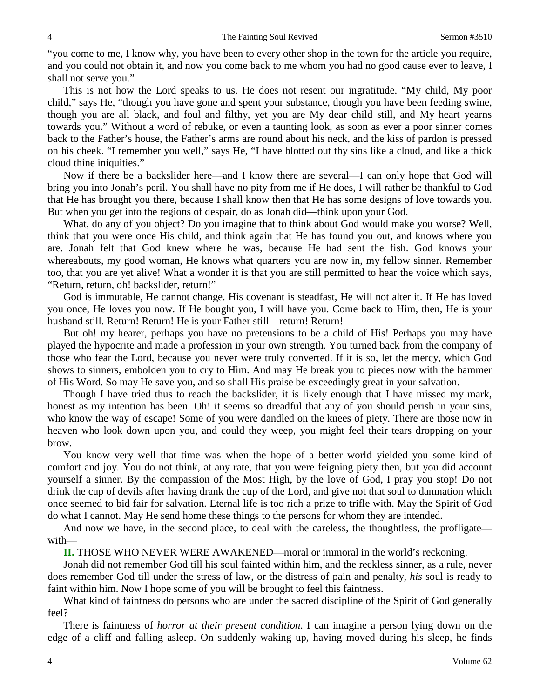"you come to me, I know why, you have been to every other shop in the town for the article you require, and you could not obtain it, and now you come back to me whom you had no good cause ever to leave, I shall not serve you."

This is not how the Lord speaks to us. He does not resent our ingratitude. "My child, My poor child," says He, "though you have gone and spent your substance, though you have been feeding swine, though you are all black, and foul and filthy, yet you are My dear child still, and My heart yearns towards you." Without a word of rebuke, or even a taunting look, as soon as ever a poor sinner comes back to the Father's house, the Father's arms are round about his neck, and the kiss of pardon is pressed on his cheek. "I remember you well," says He, "I have blotted out thy sins like a cloud, and like a thick cloud thine iniquities."

Now if there be a backslider here—and I know there are several—I can only hope that God will bring you into Jonah's peril. You shall have no pity from me if He does, I will rather be thankful to God that He has brought you there, because I shall know then that He has some designs of love towards you. But when you get into the regions of despair, do as Jonah did—think upon your God.

What, do any of you object? Do you imagine that to think about God would make you worse? Well, think that you were once His child, and think again that He has found you out, and knows where you are. Jonah felt that God knew where he was, because He had sent the fish. God knows your whereabouts, my good woman, He knows what quarters you are now in, my fellow sinner. Remember too, that you are yet alive! What a wonder it is that you are still permitted to hear the voice which says, "Return, return, oh! backslider, return!"

God is immutable, He cannot change. His covenant is steadfast, He will not alter it. If He has loved you once, He loves you now. If He bought you, I will have you. Come back to Him, then, He is your husband still. Return! Return! He is your Father still—return! Return!

But oh! my hearer, perhaps you have no pretensions to be a child of His! Perhaps you may have played the hypocrite and made a profession in your own strength. You turned back from the company of those who fear the Lord, because you never were truly converted. If it is so, let the mercy, which God shows to sinners, embolden you to cry to Him. And may He break you to pieces now with the hammer of His Word. So may He save you, and so shall His praise be exceedingly great in your salvation.

Though I have tried thus to reach the backslider, it is likely enough that I have missed my mark, honest as my intention has been. Oh! it seems so dreadful that any of you should perish in your sins, who know the way of escape! Some of you were dandled on the knees of piety. There are those now in heaven who look down upon you, and could they weep, you might feel their tears dropping on your brow.

You know very well that time was when the hope of a better world yielded you some kind of comfort and joy. You do not think, at any rate, that you were feigning piety then, but you did account yourself a sinner. By the compassion of the Most High, by the love of God, I pray you stop! Do not drink the cup of devils after having drank the cup of the Lord, and give not that soul to damnation which once seemed to bid fair for salvation. Eternal life is too rich a prize to trifle with. May the Spirit of God do what I cannot. May He send home these things to the persons for whom they are intended.

And now we have, in the second place, to deal with the careless, the thoughtless, the profligate with—

**II.** THOSE WHO NEVER WERE AWAKENED—moral or immoral in the world's reckoning.

Jonah did not remember God till his soul fainted within him, and the reckless sinner, as a rule, never does remember God till under the stress of law, or the distress of pain and penalty, *his* soul is ready to faint within him. Now I hope some of you will be brought to feel this faintness.

What kind of faintness do persons who are under the sacred discipline of the Spirit of God generally feel?

There is faintness of *horror at their present condition*. I can imagine a person lying down on the edge of a cliff and falling asleep. On suddenly waking up, having moved during his sleep, he finds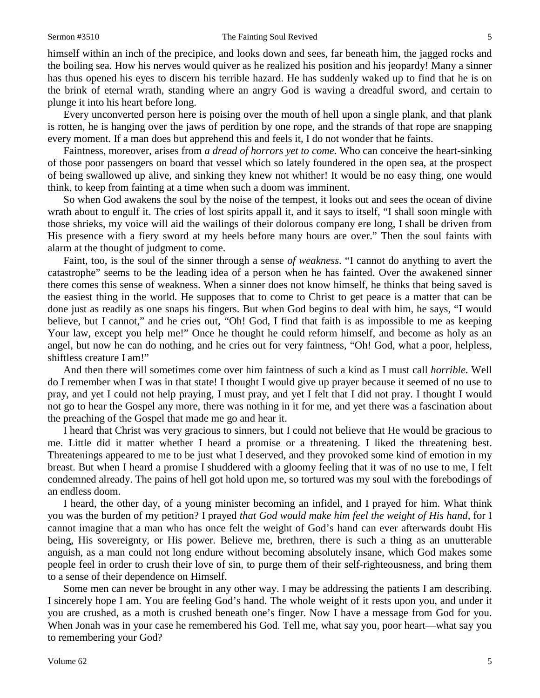himself within an inch of the precipice, and looks down and sees, far beneath him, the jagged rocks and the boiling sea. How his nerves would quiver as he realized his position and his jeopardy! Many a sinner has thus opened his eyes to discern his terrible hazard. He has suddenly waked up to find that he is on the brink of eternal wrath, standing where an angry God is waving a dreadful sword, and certain to plunge it into his heart before long.

Every unconverted person here is poising over the mouth of hell upon a single plank, and that plank is rotten, he is hanging over the jaws of perdition by one rope, and the strands of that rope are snapping every moment. If a man does but apprehend this and feels it, I do not wonder that he faints.

Faintness, moreover, arises from *a dread of horrors yet to come*. Who can conceive the heart-sinking of those poor passengers on board that vessel which so lately foundered in the open sea, at the prospect of being swallowed up alive, and sinking they knew not whither! It would be no easy thing, one would think, to keep from fainting at a time when such a doom was imminent.

So when God awakens the soul by the noise of the tempest, it looks out and sees the ocean of divine wrath about to engulf it. The cries of lost spirits appall it, and it says to itself, "I shall soon mingle with those shrieks, my voice will aid the wailings of their dolorous company ere long, I shall be driven from His presence with a fiery sword at my heels before many hours are over." Then the soul faints with alarm at the thought of judgment to come.

Faint, too, is the soul of the sinner through a sense *of weakness*. "I cannot do anything to avert the catastrophe" seems to be the leading idea of a person when he has fainted. Over the awakened sinner there comes this sense of weakness. When a sinner does not know himself, he thinks that being saved is the easiest thing in the world. He supposes that to come to Christ to get peace is a matter that can be done just as readily as one snaps his fingers. But when God begins to deal with him, he says, "I would believe, but I cannot," and he cries out, "Oh! God, I find that faith is as impossible to me as keeping Your law, except you help me!" Once he thought he could reform himself, and become as holy as an angel, but now he can do nothing, and he cries out for very faintness, "Oh! God, what a poor, helpless, shiftless creature I am!"

And then there will sometimes come over him faintness of such a kind as I must call *horrible*. Well do I remember when I was in that state! I thought I would give up prayer because it seemed of no use to pray, and yet I could not help praying, I must pray, and yet I felt that I did not pray. I thought I would not go to hear the Gospel any more, there was nothing in it for me, and yet there was a fascination about the preaching of the Gospel that made me go and hear it.

I heard that Christ was very gracious to sinners, but I could not believe that He would be gracious to me. Little did it matter whether I heard a promise or a threatening. I liked the threatening best. Threatenings appeared to me to be just what I deserved, and they provoked some kind of emotion in my breast. But when I heard a promise I shuddered with a gloomy feeling that it was of no use to me, I felt condemned already. The pains of hell got hold upon me, so tortured was my soul with the forebodings of an endless doom.

I heard, the other day, of a young minister becoming an infidel, and I prayed for him. What think you was the burden of my petition? I prayed *that God would make him feel the weight of His hand,* for I cannot imagine that a man who has once felt the weight of God's hand can ever afterwards doubt His being, His sovereignty, or His power. Believe me, brethren, there is such a thing as an unutterable anguish, as a man could not long endure without becoming absolutely insane, which God makes some people feel in order to crush their love of sin, to purge them of their self-righteousness, and bring them to a sense of their dependence on Himself.

Some men can never be brought in any other way. I may be addressing the patients I am describing. I sincerely hope I am. You are feeling God's hand. The whole weight of it rests upon you, and under it you are crushed, as a moth is crushed beneath one's finger. Now I have a message from God for you. When Jonah was in your case he remembered his God. Tell me, what say you, poor heart—what say you to remembering your God?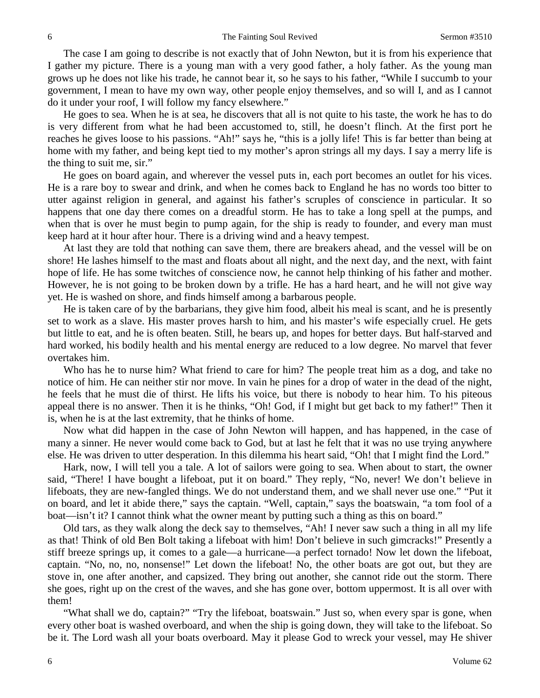The case I am going to describe is not exactly that of John Newton, but it is from his experience that I gather my picture. There is a young man with a very good father, a holy father. As the young man grows up he does not like his trade, he cannot bear it, so he says to his father, "While I succumb to your government, I mean to have my own way, other people enjoy themselves, and so will I, and as I cannot do it under your roof, I will follow my fancy elsewhere."

He goes to sea. When he is at sea, he discovers that all is not quite to his taste, the work he has to do is very different from what he had been accustomed to, still, he doesn't flinch. At the first port he reaches he gives loose to his passions. "Ah!" says he, "this is a jolly life! This is far better than being at home with my father, and being kept tied to my mother's apron strings all my days. I say a merry life is the thing to suit me, sir."

He goes on board again, and wherever the vessel puts in, each port becomes an outlet for his vices. He is a rare boy to swear and drink, and when he comes back to England he has no words too bitter to utter against religion in general, and against his father's scruples of conscience in particular. It so happens that one day there comes on a dreadful storm. He has to take a long spell at the pumps, and when that is over he must begin to pump again, for the ship is ready to founder, and every man must keep hard at it hour after hour. There is a driving wind and a heavy tempest.

At last they are told that nothing can save them, there are breakers ahead, and the vessel will be on shore! He lashes himself to the mast and floats about all night, and the next day, and the next, with faint hope of life. He has some twitches of conscience now, he cannot help thinking of his father and mother. However, he is not going to be broken down by a trifle. He has a hard heart, and he will not give way yet. He is washed on shore, and finds himself among a barbarous people.

He is taken care of by the barbarians, they give him food, albeit his meal is scant, and he is presently set to work as a slave. His master proves harsh to him, and his master's wife especially cruel. He gets but little to eat, and he is often beaten. Still, he bears up, and hopes for better days. But half-starved and hard worked, his bodily health and his mental energy are reduced to a low degree. No marvel that fever overtakes him.

Who has he to nurse him? What friend to care for him? The people treat him as a dog, and take no notice of him. He can neither stir nor move. In vain he pines for a drop of water in the dead of the night, he feels that he must die of thirst. He lifts his voice, but there is nobody to hear him. To his piteous appeal there is no answer. Then it is he thinks, "Oh! God, if I might but get back to my father!" Then it is, when he is at the last extremity, that he thinks of home.

Now what did happen in the case of John Newton will happen, and has happened, in the case of many a sinner. He never would come back to God, but at last he felt that it was no use trying anywhere else. He was driven to utter desperation. In this dilemma his heart said, "Oh! that I might find the Lord."

Hark, now, I will tell you a tale. A lot of sailors were going to sea. When about to start, the owner said, "There! I have bought a lifeboat, put it on board." They reply, "No, never! We don't believe in lifeboats, they are new-fangled things. We do not understand them, and we shall never use one." "Put it on board, and let it abide there," says the captain. "Well, captain," says the boatswain, "a tom fool of a boat—isn't it? I cannot think what the owner meant by putting such a thing as this on board."

Old tars, as they walk along the deck say to themselves, "Ah! I never saw such a thing in all my life as that! Think of old Ben Bolt taking a lifeboat with him! Don't believe in such gimcracks!" Presently a stiff breeze springs up, it comes to a gale—a hurricane—a perfect tornado! Now let down the lifeboat, captain. "No, no, no, nonsense!" Let down the lifeboat! No, the other boats are got out, but they are stove in, one after another, and capsized. They bring out another, she cannot ride out the storm. There she goes, right up on the crest of the waves, and she has gone over, bottom uppermost. It is all over with them!

"What shall we do, captain?" "Try the lifeboat, boatswain." Just so, when every spar is gone, when every other boat is washed overboard, and when the ship is going down, they will take to the lifeboat. So be it. The Lord wash all your boats overboard. May it please God to wreck your vessel, may He shiver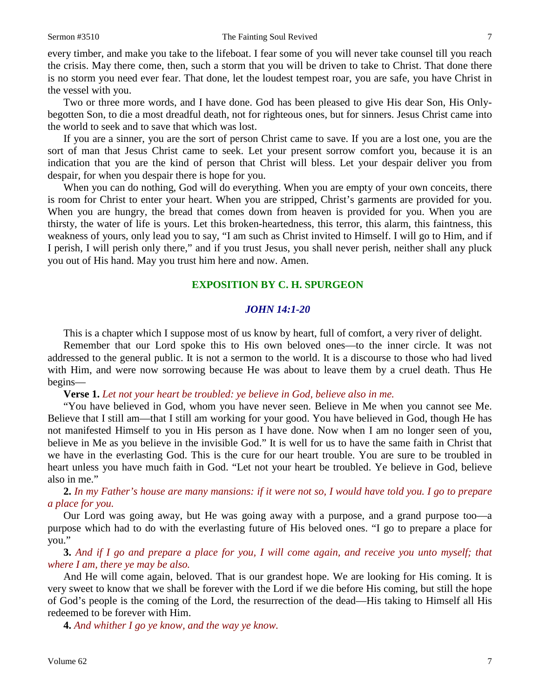every timber, and make you take to the lifeboat. I fear some of you will never take counsel till you reach the crisis. May there come, then, such a storm that you will be driven to take to Christ. That done there is no storm you need ever fear. That done, let the loudest tempest roar, you are safe, you have Christ in the vessel with you.

Two or three more words, and I have done. God has been pleased to give His dear Son, His Onlybegotten Son, to die a most dreadful death, not for righteous ones, but for sinners. Jesus Christ came into the world to seek and to save that which was lost.

If you are a sinner, you are the sort of person Christ came to save. If you are a lost one, you are the sort of man that Jesus Christ came to seek. Let your present sorrow comfort you, because it is an indication that you are the kind of person that Christ will bless. Let your despair deliver you from despair, for when you despair there is hope for you.

When you can do nothing, God will do everything. When you are empty of your own conceits, there is room for Christ to enter your heart. When you are stripped, Christ's garments are provided for you. When you are hungry, the bread that comes down from heaven is provided for you. When you are thirsty, the water of life is yours. Let this broken-heartedness, this terror, this alarm, this faintness, this weakness of yours, only lead you to say, "I am such as Christ invited to Himself. I will go to Him, and if I perish, I will perish only there," and if you trust Jesus, you shall never perish, neither shall any pluck you out of His hand. May you trust him here and now. Amen.

### **EXPOSITION BY C. H. SPURGEON**

## *JOHN 14:1-20*

This is a chapter which I suppose most of us know by heart, full of comfort, a very river of delight.

Remember that our Lord spoke this to His own beloved ones—to the inner circle. It was not addressed to the general public. It is not a sermon to the world. It is a discourse to those who had lived with Him, and were now sorrowing because He was about to leave them by a cruel death. Thus He begins—

**Verse 1.** *Let not your heart be troubled: ye believe in God, believe also in me.*

"You have believed in God, whom you have never seen. Believe in Me when you cannot see Me. Believe that I still am—that I still am working for your good. You have believed in God, though He has not manifested Himself to you in His person as I have done. Now when I am no longer seen of you, believe in Me as you believe in the invisible God." It is well for us to have the same faith in Christ that we have in the everlasting God. This is the cure for our heart trouble. You are sure to be troubled in heart unless you have much faith in God. "Let not your heart be troubled. Ye believe in God, believe also in me."

**2.** *In my Father's house are many mansions: if it were not so, I would have told you. I go to prepare a place for you.*

Our Lord was going away, but He was going away with a purpose, and a grand purpose too—a purpose which had to do with the everlasting future of His beloved ones. "I go to prepare a place for you."

**3.** *And if I go and prepare a place for you, I will come again, and receive you unto myself; that where I am, there ye may be also.*

And He will come again, beloved. That is our grandest hope. We are looking for His coming. It is very sweet to know that we shall be forever with the Lord if we die before His coming, but still the hope of God's people is the coming of the Lord, the resurrection of the dead—His taking to Himself all His redeemed to be forever with Him.

**4.** *And whither I go ye know, and the way ye know.*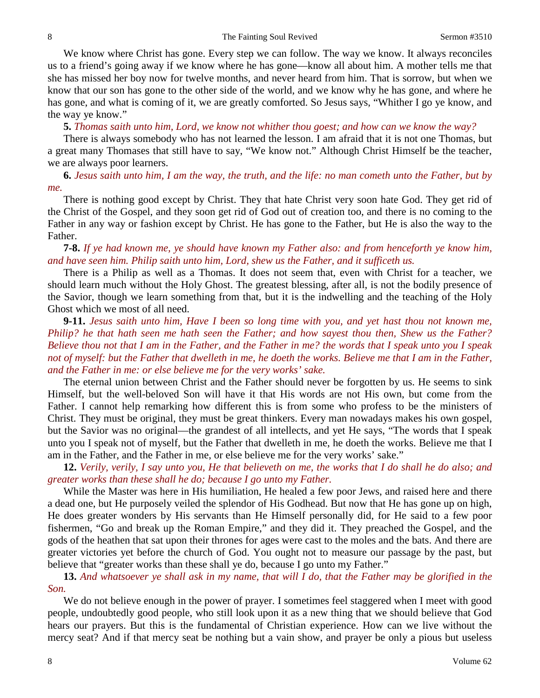We know where Christ has gone. Every step we can follow. The way we know. It always reconciles us to a friend's going away if we know where he has gone—know all about him. A mother tells me that she has missed her boy now for twelve months, and never heard from him. That is sorrow, but when we know that our son has gone to the other side of the world, and we know why he has gone, and where he has gone, and what is coming of it, we are greatly comforted. So Jesus says, "Whither I go ye know, and the way ye know."

**5.** *Thomas saith unto him, Lord, we know not whither thou goest; and how can we know the way?*

There is always somebody who has not learned the lesson. I am afraid that it is not one Thomas, but a great many Thomases that still have to say, "We know not." Although Christ Himself be the teacher, we are always poor learners.

**6.** *Jesus saith unto him, I am the way, the truth, and the life: no man cometh unto the Father, but by me.*

There is nothing good except by Christ. They that hate Christ very soon hate God. They get rid of the Christ of the Gospel, and they soon get rid of God out of creation too, and there is no coming to the Father in any way or fashion except by Christ. He has gone to the Father, but He is also the way to the Father.

**7-8.** *If ye had known me, ye should have known my Father also: and from henceforth ye know him, and have seen him. Philip saith unto him, Lord, shew us the Father, and it sufficeth us.*

There is a Philip as well as a Thomas. It does not seem that, even with Christ for a teacher, we should learn much without the Holy Ghost. The greatest blessing, after all, is not the bodily presence of the Savior, though we learn something from that, but it is the indwelling and the teaching of the Holy Ghost which we most of all need.

**9-11.** *Jesus saith unto him, Have I been so long time with you, and yet hast thou not known me, Philip? he that hath seen me hath seen the Father; and how sayest thou then, Shew us the Father? Believe thou not that I am in the Father, and the Father in me? the words that I speak unto you I speak not of myself: but the Father that dwelleth in me, he doeth the works. Believe me that I am in the Father, and the Father in me: or else believe me for the very works' sake.*

The eternal union between Christ and the Father should never be forgotten by us. He seems to sink Himself, but the well-beloved Son will have it that His words are not His own, but come from the Father. I cannot help remarking how different this is from some who profess to be the ministers of Christ. They must be original, they must be great thinkers. Every man nowadays makes his own gospel, but the Savior was no original—the grandest of all intellects, and yet He says, "The words that I speak unto you I speak not of myself, but the Father that dwelleth in me, he doeth the works. Believe me that I am in the Father, and the Father in me, or else believe me for the very works' sake."

**12.** *Verily, verily, I say unto you, He that believeth on me, the works that I do shall he do also; and greater works than these shall he do; because I go unto my Father.*

While the Master was here in His humiliation, He healed a few poor Jews, and raised here and there a dead one, but He purposely veiled the splendor of His Godhead. But now that He has gone up on high, He does greater wonders by His servants than He Himself personally did, for He said to a few poor fishermen, "Go and break up the Roman Empire," and they did it. They preached the Gospel, and the gods of the heathen that sat upon their thrones for ages were cast to the moles and the bats. And there are greater victories yet before the church of God. You ought not to measure our passage by the past, but believe that "greater works than these shall ye do, because I go unto my Father."

**13.** *And whatsoever ye shall ask in my name, that will I do, that the Father may be glorified in the Son.*

We do not believe enough in the power of prayer. I sometimes feel staggered when I meet with good people, undoubtedly good people, who still look upon it as a new thing that we should believe that God hears our prayers. But this is the fundamental of Christian experience. How can we live without the mercy seat? And if that mercy seat be nothing but a vain show, and prayer be only a pious but useless